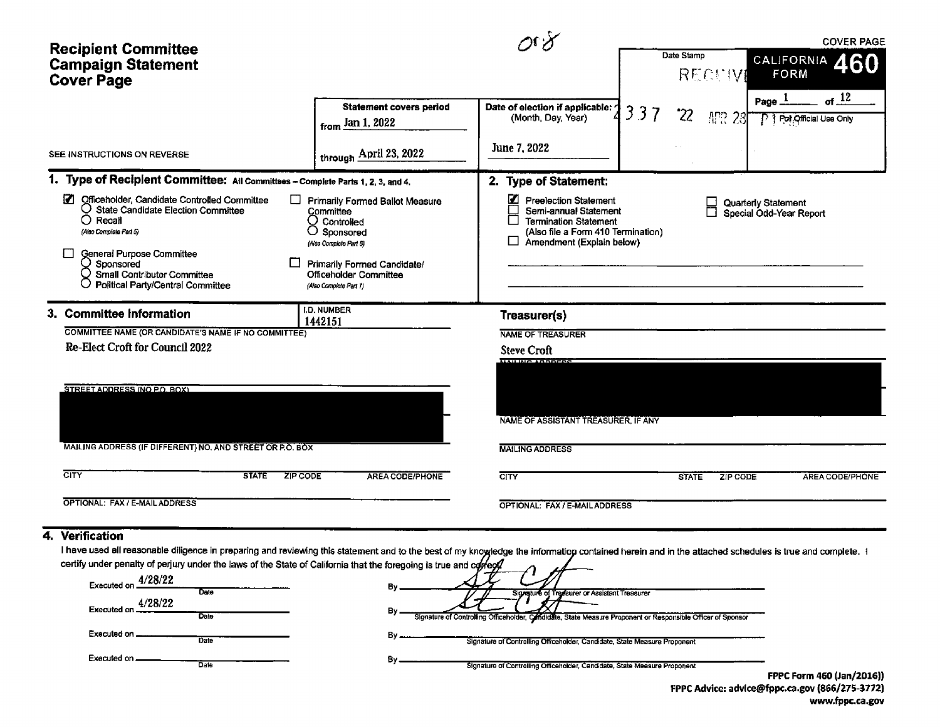|                                                                                                                                                                                                                                                                                    |                                                                                                                                                                                               |                                                                                                                                                                    |     |                     |                                                | <b>COVER PAGE</b>                               |
|------------------------------------------------------------------------------------------------------------------------------------------------------------------------------------------------------------------------------------------------------------------------------------|-----------------------------------------------------------------------------------------------------------------------------------------------------------------------------------------------|--------------------------------------------------------------------------------------------------------------------------------------------------------------------|-----|---------------------|------------------------------------------------|-------------------------------------------------|
| <b>Recipient Committee</b><br><b>Campaign Statement</b><br><b>Cover Page</b>                                                                                                                                                                                                       |                                                                                                                                                                                               |                                                                                                                                                                    |     | Date Stamp<br>RECEW |                                                | <b>CALIFORNIA</b><br>60.<br>FORM                |
|                                                                                                                                                                                                                                                                                    | <b>Statement covers period</b><br>from Jan 1, 2022                                                                                                                                            | Date of election if applicable:<br>(Month, Day, Year)                                                                                                              | 337 | '22                 | Page.<br>APR 28                                | $of$ <sup>12</sup><br>P 1 Pot Official Use Only |
| SEE INSTRUCTIONS ON REVERSE                                                                                                                                                                                                                                                        | through April 23, 2022                                                                                                                                                                        | June 7, 2022                                                                                                                                                       |     |                     |                                                |                                                 |
| 1. Type of Recipient Committee: All Committees - Complete Parts 1, 2, 3, and 4.                                                                                                                                                                                                    |                                                                                                                                                                                               | 2. Type of Statement:                                                                                                                                              |     |                     |                                                |                                                 |
| Ø<br>Officeholder, Candidate Controlled Committee<br>□<br>$\bigcirc$ State Candidate Election Committee<br>$\bigcirc$ Recall<br>(Also Complete Part 5)<br>General Purpose Committee<br>Sponsored<br><b>Small Contributor Committee</b><br><b>Political Party/Central Committee</b> | <b>Primarily Formed Ballot Measure</b><br>Committee<br>∪ Controlled<br>Sponsored<br>(Also Complete Part 8)<br>Primarily Formed Candidate/<br>Officeholder Committee<br>(Also Complete Part 7) | ☑<br><b>Preelection Statement</b><br>Semi-annual Statement<br><b>Termination Statement</b><br>(Also file a Form 410 Termination)<br>Amendment (Explain below)<br>ப |     |                     | Quarterly Statement<br>Special Odd-Year Report |                                                 |
| 3. Committee Information                                                                                                                                                                                                                                                           | <b>I.D. NUMBER</b><br>1442151                                                                                                                                                                 | Treasurer(s)                                                                                                                                                       |     |                     |                                                |                                                 |
| COMMITTEE NAME (OR CANDIDATE'S NAME IF NO COMMITTEE)                                                                                                                                                                                                                               |                                                                                                                                                                                               | <b>NAME OF TREASURER</b>                                                                                                                                           |     |                     |                                                |                                                 |
| Re-Elect Croft for Council 2022                                                                                                                                                                                                                                                    |                                                                                                                                                                                               | <b>Steve Croft</b>                                                                                                                                                 |     |                     |                                                |                                                 |
| STREET ADDRESS (NO P.O. BOX)<br>MAILING ADDRESS (IF DIFFERENT) NO, AND STREET OR P.O. BOX                                                                                                                                                                                          |                                                                                                                                                                                               | ALL INC. ADDRESS<br>NAME OF ASSISTANT TREASURER, IF ANY<br><b>MAILING ADDRESS</b>                                                                                  |     |                     |                                                |                                                 |
| <b>CITY</b><br><b>STATE</b><br>ZIP CODE                                                                                                                                                                                                                                            | <b>AREA CODE/PHONE</b>                                                                                                                                                                        | <b>CITY</b>                                                                                                                                                        |     | <b>STATE</b>        | <b>ZIP CODE</b>                                | <b>AREA CODE/PHONE</b>                          |
|                                                                                                                                                                                                                                                                                    |                                                                                                                                                                                               |                                                                                                                                                                    |     |                     |                                                |                                                 |
| OPTIONAL: FAX / E-MAIL ADDRESS                                                                                                                                                                                                                                                     |                                                                                                                                                                                               | OPTIONAL: FAX / E-MAIL ADDRESS                                                                                                                                     |     |                     |                                                |                                                 |
|                                                                                                                                                                                                                                                                                    |                                                                                                                                                                                               |                                                                                                                                                                    |     |                     |                                                |                                                 |
| 4. Verification                                                                                                                                                                                                                                                                    |                                                                                                                                                                                               |                                                                                                                                                                    |     |                     |                                                |                                                 |

### I have used all reasonable diligence in preparing and reviewing this statement and to the best of my knowledge the information contained herein and in the attached schedules is true and complete. I certify under penalty of perjury under the laws of the State of California that the foregoing is true and co*ff*

| 4/28/22<br>Executed on<br>Data | Signature of Treasurer or Assistant Treasurer                                                                 |       |              |
|--------------------------------|---------------------------------------------------------------------------------------------------------------|-------|--------------|
| 4/28/22<br>Executed on<br>Date | Signature of Controlling Officeholder, Caffididate, State Measure Proponent or Responsible Officer of Sponsor |       |              |
| Executed on<br>Date            | Signature of Controlling Officeholder, Candidate, State Measure Proponent                                     |       |              |
| Executed on<br>Date            | Signature of Controlling Officeholder, Candidate, State Measure Proponent                                     | ----- | --- - - ---- |

FPPC Form 460( Jan/ 2016)) FPPC Advice: advice@fppc.ca.gov (866/275-3772) www.fppc.ca. gov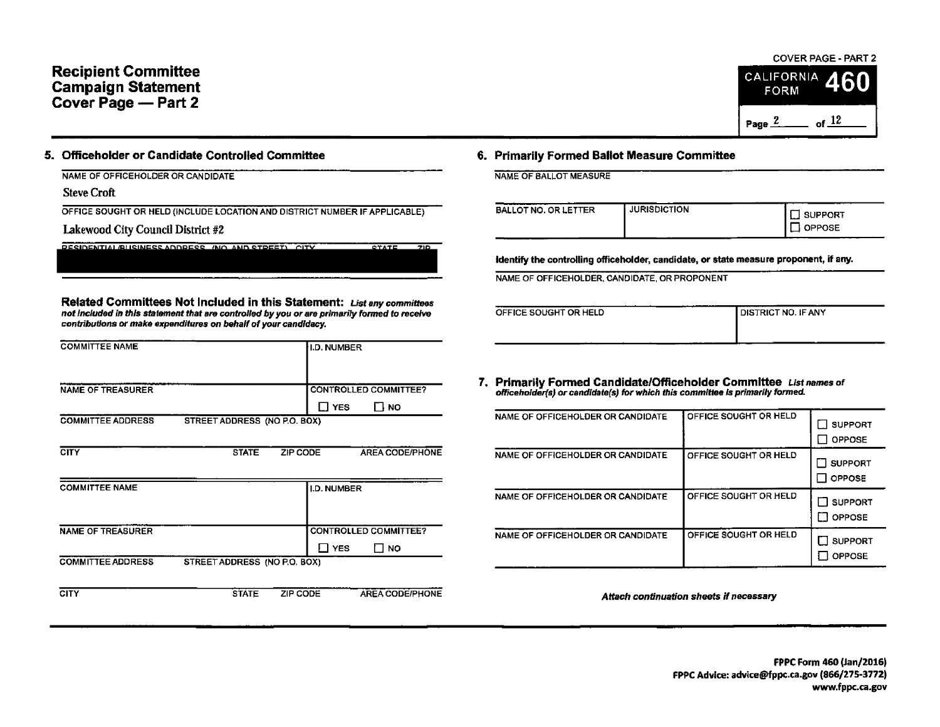# Recipient Committee California California California California California California Campaign Statement FORM Cover Page — Part 2

## 6. Officeholder or Candidate Controlled Committee 6. Primarily Formed Ballot Measure Committee

NAME OF OFFICEHOLDER OR CANDIDATE NAME OF BALLOT MEASURE

Steve Croft

OFFICE SOUGHT OR HELD (INCLUDE LOCATION AND DISTRICT NUMBER IF APPLICABLE)

RESIDENTIALIBUSINESS ADDRESS ( NO. AND STREET) CITY STATE ZIP

Lakewood City Council District #2

Related Committees Not Included in this Statement: List any committees not included in this statement that are controlled by you or are primarily formed to receive contributions or make expenditures on behalf of your candidacy.

| <b>COMMITTEE NAME</b>    |                              | I.D. NUMBER                                                |                                                                                                                                   |                                         |
|--------------------------|------------------------------|------------------------------------------------------------|-----------------------------------------------------------------------------------------------------------------------------------|-----------------------------------------|
| <b>NAME OF TREASURER</b> |                              | <b>CONTROLLED COMMITTEE?</b><br>$\Box$ YES<br><b>IT NO</b> | Primarily Formed Candidate/Officeholder Committee L<br>officeholder(s) or candidate(s) for which this committee is primarily form |                                         |
| <b>COMMITTEE ADDRESS</b> | STREET ADDRESS (NO P.O. BOX) |                                                            | NAME OF OFFICEHOLDER OR CANDIDATE                                                                                                 | OFFICE SOUGHT OR HELI                   |
| <b>CITY</b>              | ZIP CODE<br><b>STATE</b>     | <b>AREA CODE/PHONE</b>                                     | NAME OF OFFICEHOLDER OR CANDIDATE                                                                                                 | OFFICE SOUGHT OR HELD                   |
| <b>COMMITTEE NAME</b>    |                              | I.D. NUMBER                                                | NAME OF OFFICEHOLDER OR CANDIDATE                                                                                                 | OFFICE SOUGHT OR HELD                   |
| <b>NAME OF TREASURER</b> |                              | <b>CONTROLLED COMMITTEE?</b><br>$\Box$ YES<br>$\square$ NO | NAME OF OFFICEHOLDER OR CANDIDATE                                                                                                 | OFFICE SOUGHT OR HELI                   |
| <b>COMMITTEE ADDRESS</b> | STREET ADDRESS (NO P.O. BOX) |                                                            |                                                                                                                                   |                                         |
| <b>CITY</b>              | <b>STATE</b><br>ZIP CODE     | <b>AREA CODE/PHONE</b>                                     |                                                                                                                                   | Attach continuation sheets if necessary |

| ---<br>BALLOT NO. OR LETTER | <b>JURISDICTION</b> | <b>SUPPORT</b> |
|-----------------------------|---------------------|----------------|
|                             |                     | <b>PPOSE</b>   |

identify the controlling officeholder, candidate, or state measure proponent, if any.

NAME OF OFFICEHOLDER, CANDIDATE, OR PROPONENT

| OFFICE SOUGHT OR HELD | I DISTRICT NO. IF ANY |
|-----------------------|-----------------------|
|                       |                       |
|                       |                       |

7. Primarily Formed Candidate/Officeholder Committee List names of officeholder (s) or candidate(s) for which this committee is primarily formed.

| NAME OF OFFICEHOLDER OR CANDIDATE | OFFICE SOUGHT OR HELD | <b>SUPPORT</b><br><b>OPPOSE</b> |
|-----------------------------------|-----------------------|---------------------------------|
| NAME OF OFFICEHOLDER OR CANDIDATE | OFFICE SOUGHT OR HELD | <b>SUPPORT</b><br>OPPOSE        |
| NAME OF OFFICEHOLDER OR CANDIDATE | OFFICE SOUGHT OR HELD | <b>SUPPORT</b><br><b>OPPOSE</b> |
| NAME OF OFFICEHOLDER OR CANDIDATE | OFFICE SOUGHT OR HELD | <b>SUPPORT</b><br>OPPOSE        |

### COVER PAGE- PART 2

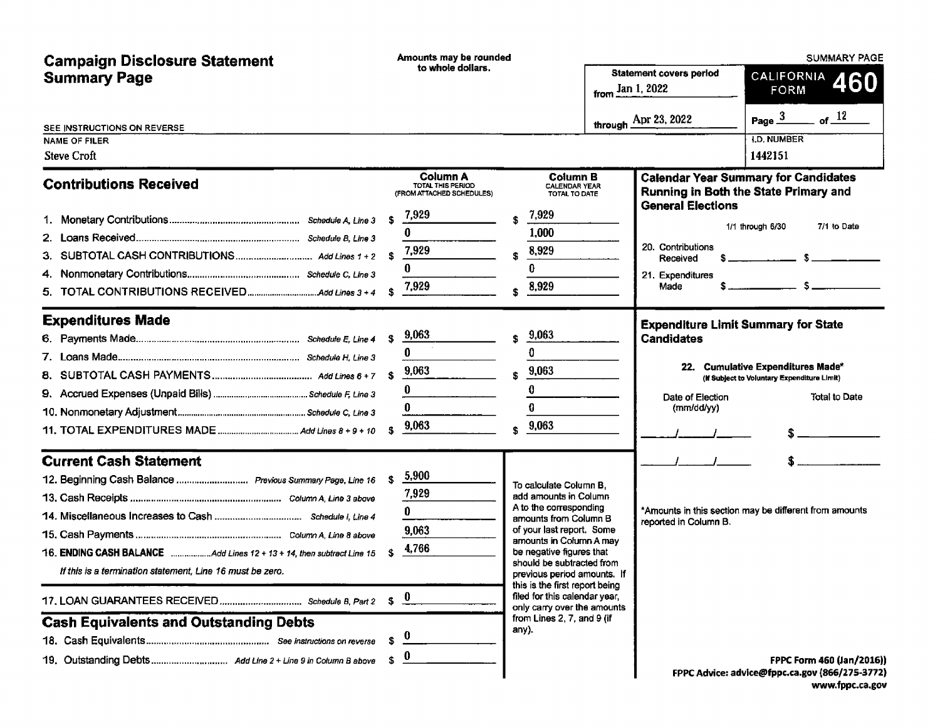| <b>Campaign Disclosure Statement</b>                                                                                                                                                                                                                                               | Amounts may be rounded                                                                                 |                                                                                                                                                                                                                                                                                                                                                                                             |                                  | <b>SUMMARY PAGE</b>                                                           |                                                                                                                                                                                                                                                                                                                                                                                                                                                |  |  |
|------------------------------------------------------------------------------------------------------------------------------------------------------------------------------------------------------------------------------------------------------------------------------------|--------------------------------------------------------------------------------------------------------|---------------------------------------------------------------------------------------------------------------------------------------------------------------------------------------------------------------------------------------------------------------------------------------------------------------------------------------------------------------------------------------------|----------------------------------|-------------------------------------------------------------------------------|------------------------------------------------------------------------------------------------------------------------------------------------------------------------------------------------------------------------------------------------------------------------------------------------------------------------------------------------------------------------------------------------------------------------------------------------|--|--|
| <b>Summary Page</b>                                                                                                                                                                                                                                                                | to whole dollars.                                                                                      |                                                                                                                                                                                                                                                                                                                                                                                             | from $\frac{\text{Jan 1}}{2022}$ | <b>Statement covers period</b>                                                | CALIFORNIA 460<br><b>FORM</b>                                                                                                                                                                                                                                                                                                                                                                                                                  |  |  |
| SEE INSTRUCTIONS ON REVERSE<br>NAME OF FILER<br><b>Steve Croft</b>                                                                                                                                                                                                                 |                                                                                                        |                                                                                                                                                                                                                                                                                                                                                                                             |                                  | through $\overline{\text{Apr 23, 2022}}$                                      | Page $\frac{3}{2}$ of $\frac{12}{2}$<br><b>I.D. NUMBER</b><br>1442151                                                                                                                                                                                                                                                                                                                                                                          |  |  |
| <b>Contributions Received</b>                                                                                                                                                                                                                                                      | Column A<br>TOTAL THIS PERIOD<br>(FROM ATTACHED SCHEDULES)<br>7,929<br>s.<br>0<br>7,929<br>0           | <b>Column B</b><br><b>CALENDAR YEAR</b><br>TOTAL TO DATE<br>7,929<br>1,000<br>8,929<br>¢.<br>0                                                                                                                                                                                                                                                                                              |                                  | <b>General Elections</b><br>20. Contributions<br>Received<br>21. Expenditures | <b>Calendar Year Summary for Candidates</b><br>Running in Both the State Primary and<br>7/1 to Date<br>1/1 through 6/30<br>$\frac{1}{2}$ $\frac{1}{2}$ $\frac{1}{2}$ $\frac{1}{2}$ $\frac{1}{2}$ $\frac{1}{2}$ $\frac{1}{2}$ $\frac{1}{2}$ $\frac{1}{2}$ $\frac{1}{2}$ $\frac{1}{2}$ $\frac{1}{2}$ $\frac{1}{2}$ $\frac{1}{2}$ $\frac{1}{2}$ $\frac{1}{2}$ $\frac{1}{2}$ $\frac{1}{2}$ $\frac{1}{2}$ $\frac{1}{2}$ $\frac{1}{2}$ $\frac{1}{2}$ |  |  |
|                                                                                                                                                                                                                                                                                    | 7,929<br>£.                                                                                            | 8,929                                                                                                                                                                                                                                                                                                                                                                                       |                                  | Made                                                                          | $S = \{$                                                                                                                                                                                                                                                                                                                                                                                                                                       |  |  |
| <b>Expenditures Made</b>                                                                                                                                                                                                                                                           | 9,063<br>\$<br>0<br>9,063<br>s.<br>0<br>0<br>9,063<br>\$                                               | 9,063<br>Ś<br>0<br>9,063<br>Ŝ<br>0<br>0<br>9,063<br>\$                                                                                                                                                                                                                                                                                                                                      |                                  | <b>Candidates</b><br>Date of Election<br>(mm/dd/yy)                           | <b>Expenditure Limit Summary for State</b><br>22. Cumulative Expenditures Made*<br>(If Subject to Voluntary Expenditure Limit)<br>Total to Date                                                                                                                                                                                                                                                                                                |  |  |
| <b>Current Cash Statement</b><br>12. Beginning Cash Balance  Previous Summary Page, Line 16<br>16. ENDING CASH BALANCE Add Lines 12 + 13 + 14, then subtract Line 15<br>If this is a termination statement, Line 16 must be zero.<br><b>Cash Equivalents and Outstanding Debts</b> | 5,900<br>\$<br>7,929<br>0<br>9,063<br>4,766<br>\$<br>$\mathbf{0}$<br>\$<br>S<br>$\boldsymbol{0}$<br>S. | To calculate Column B.<br>add amounts in Column<br>A to the corresponding<br>amounts from Column B<br>of your last report. Some<br>amounts in Column A may<br>be negative figures that<br>should be subtracted from<br>previous period amounts. If<br>this is the first report being<br>filed for this calendar year,<br>only carry over the amounts<br>from Lines 2, 7, and 9 (if<br>any). |                                  | reported in Column B.                                                         | *Amounts in this section may be different from amounts<br>FPPC Form 460 (Jan/2016))                                                                                                                                                                                                                                                                                                                                                            |  |  |
|                                                                                                                                                                                                                                                                                    |                                                                                                        |                                                                                                                                                                                                                                                                                                                                                                                             |                                  |                                                                               | FPPC Advice: advice@fppc.ca.gov (866/275-3772)                                                                                                                                                                                                                                                                                                                                                                                                 |  |  |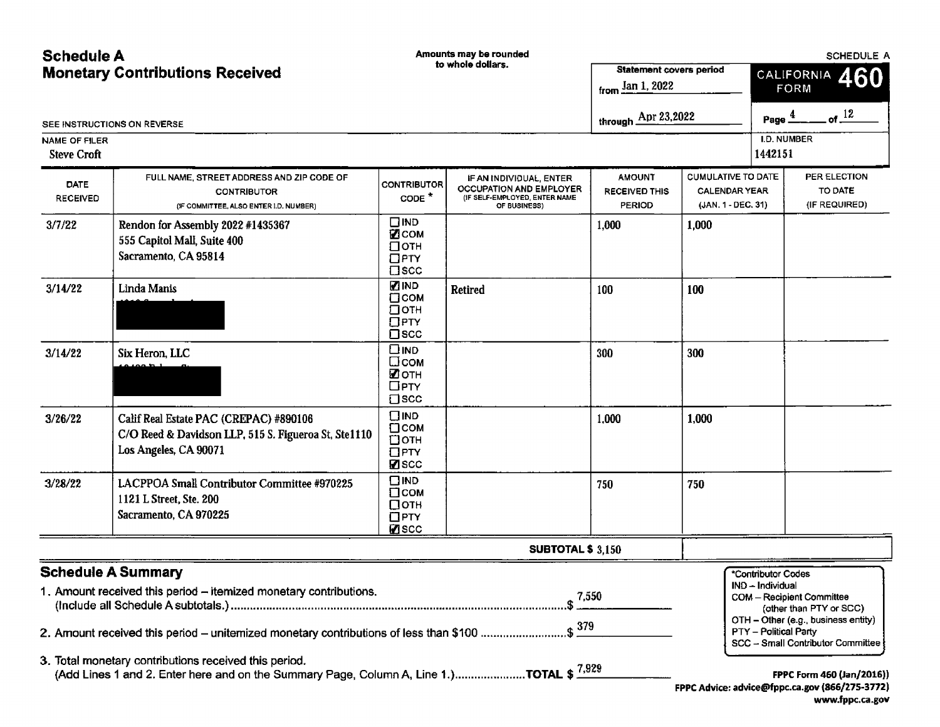| <b>Schedule A</b>                          |                                                                                                                                                                                                             | Amounts may be rounded                                               |                                                                                                     |                                                        |                                                                         | SCHEDULE A                                                             |                                                                                                                                     |  |
|--------------------------------------------|-------------------------------------------------------------------------------------------------------------------------------------------------------------------------------------------------------------|----------------------------------------------------------------------|-----------------------------------------------------------------------------------------------------|--------------------------------------------------------|-------------------------------------------------------------------------|------------------------------------------------------------------------|-------------------------------------------------------------------------------------------------------------------------------------|--|
|                                            | <b>Monetary Contributions Received</b>                                                                                                                                                                      |                                                                      | to whole dollars.                                                                                   | <b>Statement covers period</b>                         |                                                                         | CALIFORNIA 460<br><b>FORM</b>                                          |                                                                                                                                     |  |
|                                            |                                                                                                                                                                                                             |                                                                      |                                                                                                     | from $\underline{\text{Jan 1, 2022}}$                  |                                                                         |                                                                        |                                                                                                                                     |  |
|                                            | SEE INSTRUCTIONS ON REVERSE                                                                                                                                                                                 |                                                                      |                                                                                                     | through $\triangle$ pr 23,2022                         |                                                                         | Page $\frac{4}{1}$                                                     | of $12$                                                                                                                             |  |
| <b>NAME OF FILER</b><br><b>Steve Croft</b> |                                                                                                                                                                                                             |                                                                      |                                                                                                     |                                                        |                                                                         | <b>I.D. NUMBER</b><br>1442151                                          |                                                                                                                                     |  |
| <b>DATE</b><br><b>RECEIVED</b>             | FULL NAME, STREET ADDRESS AND ZIP CODE OF<br><b>CONTRIBUTOR</b><br>(IF COMMITTEE, ALSO ENTER I.D. NUMBER)                                                                                                   | CONTRIBUTOR<br>CODE <sup>*</sup>                                     | IF AN INDIVIDUAL, ENTER<br>OCCUPATION AND EMPLOYER<br>(IF SELF-EMPLOYED, ENTER NAME<br>OF BUSINESS) | <b>AMOUNT</b><br><b>RECEIVED THIS</b><br><b>PERIOD</b> | <b>CUMULATIVE TO DATE</b><br><b>CALENDAR YEAR</b><br>(JAN. 1 - DEC. 31) |                                                                        | PER ELECTION<br>TO DATE<br>(IF REQUIRED)                                                                                            |  |
| 3/7/22                                     | Rendon for Assembly 2022 #1435367<br>555 Capitol Mall, Suite 400<br>Sacramento, CA 95814                                                                                                                    | $\square$ IND<br>⊠сом<br>$\Box$ OTH<br>$\Box$ PTY<br>$\square$ scc   |                                                                                                     | 1,000                                                  | 1,000                                                                   |                                                                        |                                                                                                                                     |  |
| 3/14/22                                    | Linda Manis                                                                                                                                                                                                 | <b>ZIND</b><br>□сом<br>⊡отн<br>$\Box$ PTY<br>$\square$ scc           | <b>Retired</b>                                                                                      | 100                                                    | 100                                                                     |                                                                        |                                                                                                                                     |  |
| 3/14/22                                    | Six Heron, LLC                                                                                                                                                                                              | $\square$ IND<br>□сом<br>⊠отн<br>$\Box$ PTY<br>$\Box$ scc            |                                                                                                     | 300                                                    | 300                                                                     |                                                                        |                                                                                                                                     |  |
| 3/26/22                                    | Calif Real Estate PAC (CREPAC) #890106<br>C/O Reed & Davidson LLP, 515 S. Figueroa St, Ste1110<br>Los Angeles, CA 90071                                                                                     | $\square$ IND<br>⊡сом<br>□отн<br>$\Box$ PTY<br><b>Z</b> SCC          |                                                                                                     | 1,000                                                  | 1.000                                                                   |                                                                        |                                                                                                                                     |  |
| 3/28/22                                    | LACPPOA Small Contributor Committee #970225<br>1121 L Street, Ste. 200<br>Sacramento, CA 970225                                                                                                             | $\square$ IND<br>$\square$ COM<br>□отн<br>$\Box$ PTY<br><b>Ø</b> scc |                                                                                                     | 750                                                    | 750                                                                     |                                                                        |                                                                                                                                     |  |
|                                            |                                                                                                                                                                                                             |                                                                      | <b>SUBTOTAL \$ 3,150</b>                                                                            |                                                        |                                                                         |                                                                        |                                                                                                                                     |  |
|                                            | <b>Schedule A Summary</b><br>1. Amount received this period - itemized monetary contributions.<br>2. Amount received this period – uniternized monetary contributions of less than \$100 \$ $\frac{379}{4}$ |                                                                      |                                                                                                     | 7,550                                                  |                                                                         | *Contributor Codes<br>IND – Individual<br><b>PTY</b> - Political Party | <b>COM</b> - Recipient Committee<br>(other than PTY or SCC)<br>OTH - Other (e.g., business entity)                                  |  |
|                                            | 3. Total monetary contributions received this period.                                                                                                                                                       |                                                                      |                                                                                                     |                                                        |                                                                         |                                                                        | SCC - Small Contributor Committee<br>FPPC Form 460 (Jan/2016))<br>FPPC Advice: advice@fppc.ca.gov (866/275-3772)<br>www.fppc.ca.gov |  |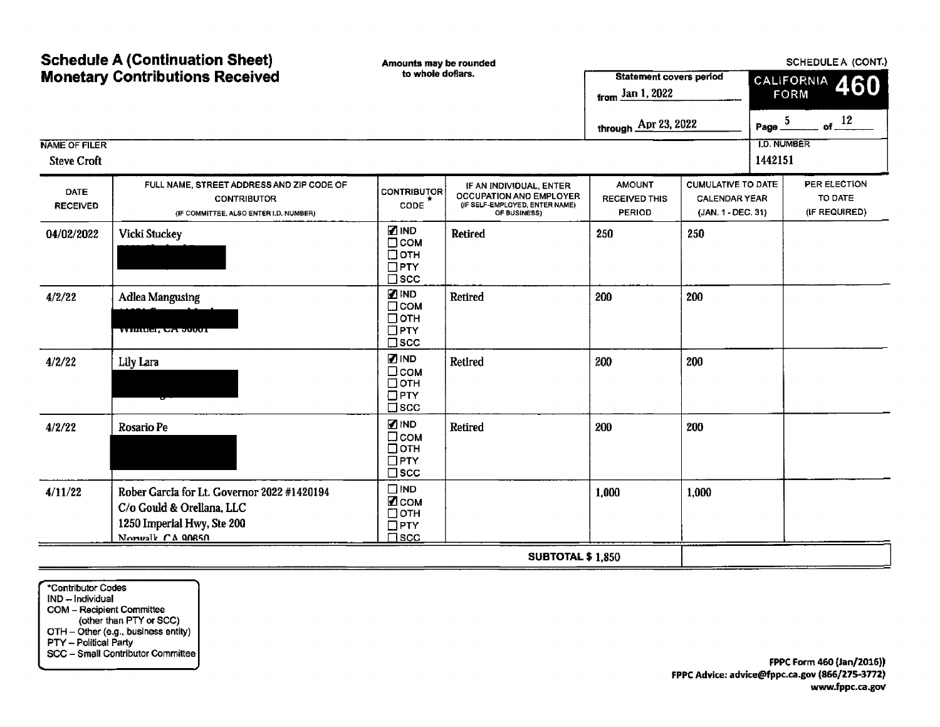| <b>Schedule A (Continuation Sheet)</b> |                                                                                                                            | Amounts may be rounded                                                        |                                                                                                      | SCHEDULE A (CONT.)                                                    |                                                                         |                               |                                          |  |
|----------------------------------------|----------------------------------------------------------------------------------------------------------------------------|-------------------------------------------------------------------------------|------------------------------------------------------------------------------------------------------|-----------------------------------------------------------------------|-------------------------------------------------------------------------|-------------------------------|------------------------------------------|--|
| <b>Monetary Contributions Received</b> |                                                                                                                            | to whole dollars.                                                             |                                                                                                      | <b>Statement covers period</b><br>from $\frac{\text{Jan 1, 2022}}{n}$ |                                                                         | CALIFORNIA 460<br>FORM        |                                          |  |
|                                        |                                                                                                                            |                                                                               |                                                                                                      | through Apr 23, 2022                                                  |                                                                         | Page $\frac{5}{2}$            | of $12$                                  |  |
| NAME OF FILER<br><b>Steve Croft</b>    |                                                                                                                            |                                                                               |                                                                                                      |                                                                       |                                                                         | <b>I.D. NUMBER</b><br>1442151 |                                          |  |
| DATE<br><b>RECEIVED</b>                | FULL NAME, STREET ADDRESS AND ZIP CODE OF<br><b>CONTRIBUTOR</b><br>(IF COMMITTEE, ALSO ENTER I.D. NUMBER)                  | <b>CONTRIBUTOR</b><br>CODE                                                    | IF AN INDIVIDUAL, ENTER<br>OCCUPATION AND EMPLOYER<br>(IF SELF-EMPLOYED, ENTER NAME)<br>OF BUSINESS) | <b>AMOUNT</b><br><b>RECEIVED THIS</b><br><b>PERIOD</b>                | <b>CUMULATIVE TO DATE</b><br><b>CALENDAR YEAR</b><br>(JAN. 1 - DEC. 31) |                               | PER ELECTION<br>TO DATE<br>(IF REQUIRED) |  |
| 04/02/2022                             | Vicki Stuckey                                                                                                              | <b>ZIND</b><br>$\Box$ COM<br>□отн<br>$\Box$ PTY<br>$\square$ scc              | <b>Retired</b>                                                                                       | 250                                                                   | 250                                                                     |                               |                                          |  |
| 4/2/22                                 | <b>Adlea Mangusing</b><br><b>WHILLEI, CA JUQUI</b>                                                                         | <b>ZIND</b><br>$\Box$ COM<br>$\Box$ OTH<br>$\Box$ PTY<br>$\square$ scc        | Retired                                                                                              | 200                                                                   | 200                                                                     |                               |                                          |  |
| 4/2/22<br>Lily Lara                    |                                                                                                                            | $\blacksquare$ IND<br>$\Box$ COM<br>$\Box$ OTH<br>$\Box$ PTY<br>$\square$ scc | Retired                                                                                              | 200                                                                   | 200                                                                     |                               |                                          |  |
| 4/2/22<br><b>Rosario Pe</b>            |                                                                                                                            | <b>ZIND</b><br>□сом<br>□отн<br>$\Box$ PTY<br>$\square$ scc                    | <b>Retired</b>                                                                                       | 200                                                                   | 200                                                                     |                               |                                          |  |
| 4/11/22                                | Rober Garcia for Lt. Governor 2022 #1420194<br>C/o Gould & Orellana, LLC<br>1250 Imperial Hwy, Ste 200<br>Norwalk CA 90650 | $\square$ IND<br>⊠сом<br>□отн<br>$\Box$ PTY<br>$\square$ scc                  |                                                                                                      | 1,000                                                                 | 1,000                                                                   |                               |                                          |  |
|                                        |                                                                                                                            |                                                                               | <b>SUBTOTAL \$1,850</b>                                                                              |                                                                       |                                                                         |                               |                                          |  |

\*Contributor Codes IND-- Individual COM— Recipient Committee other than PTY or SCC)  $\mathbf{O}\mathsf{IH}-\mathbf{O}$ ther (e.g., business entity) PTY— Political Party SCC— Small Contributor Committee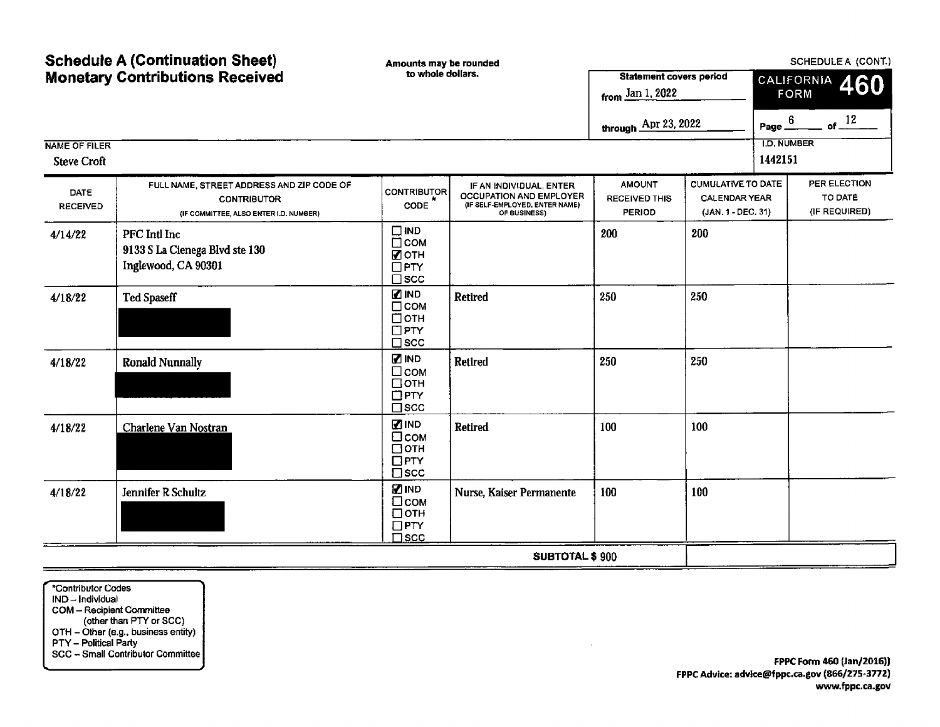| <b>Schedule A (Continuation Sheet)</b><br><b>Monetary Contributions Received</b> |                                                                                                           | Amounts may be rounded                                                    |                                                                                                      |                                                                       | SCHEDULE A (CONT.)                                                      |                               |                                          |  |  |
|----------------------------------------------------------------------------------|-----------------------------------------------------------------------------------------------------------|---------------------------------------------------------------------------|------------------------------------------------------------------------------------------------------|-----------------------------------------------------------------------|-------------------------------------------------------------------------|-------------------------------|------------------------------------------|--|--|
|                                                                                  |                                                                                                           | to whole dollars.                                                         |                                                                                                      | <b>Statement covers period</b><br>from $\frac{\text{Jan 1, 2022}}{2}$ |                                                                         | CALIFORNIA 460<br><b>FORM</b> |                                          |  |  |
|                                                                                  |                                                                                                           |                                                                           |                                                                                                      | through Apr 23, 2022                                                  |                                                                         | Page $6$                      | of $12$                                  |  |  |
| <b>NAME OF FILER</b><br><b>Steve Croft</b>                                       |                                                                                                           |                                                                           |                                                                                                      |                                                                       |                                                                         | <b>I.D. NUMBER</b><br>1442151 |                                          |  |  |
| DATE<br><b>RECEIVED</b>                                                          | FULL NAME, STREET ADDRESS AND ZIP CODE OF<br><b>CONTRIBUTOR</b><br>(IF COMMITTEE, ALSO ENTER I.D. NUMBER) | <b>CONTRIBUTOR</b><br>CODE                                                | IF AN INDIVIDUAL, ENTER<br>OCCUPATION AND EMPLOYER<br>(IF SELF-EMPLOYED, ENTER NAME)<br>OF BUSINESS) | <b>AMOUNT</b><br><b>RECEIVED THIS</b><br>PERIOD                       | <b>CUMULATIVE TO DATE</b><br><b>CALENDAR YEAR</b><br>(JAN. 1 - DEC. 31) |                               | PER ELECTION<br>TO DATE<br>(IF REQUIRED) |  |  |
| 4/14/22                                                                          | PFC Intl Inc<br>9133 S La Cienega Blvd ste 130<br>Inglewood, CA 90301                                     | $\square$ IND<br>$\Box$ COM<br>■ОТН<br>$\Box$ PTY<br>$\square$ scc        |                                                                                                      | 200                                                                   | 200                                                                     |                               |                                          |  |  |
| 4/18/22                                                                          | <b>Ted Spaseff</b>                                                                                        | <b>ZIND</b><br>$\Box$ COM<br>□отн<br>$\Box$ PTY<br>$\square$ scc          | Retired                                                                                              | 250                                                                   | 250                                                                     |                               |                                          |  |  |
| 4/18/22                                                                          | <b>Ronald Nunnally</b>                                                                                    | <b>ZIND</b><br>$\square$ COM<br>□отн<br>$\Box$ PTY<br>$\square$ scc       | <b>Retired</b>                                                                                       | 250                                                                   | 250                                                                     |                               |                                          |  |  |
| 4/18/22                                                                          | Charlene Van Nostran                                                                                      | <b>ZIND</b><br>□сом<br>$\Box$ OTH<br>$\Box$ PTY<br>$\square$ scc          | Retired                                                                                              | 100                                                                   | 100                                                                     |                               |                                          |  |  |
| 4/18/22                                                                          | Jennifer R Schultz                                                                                        | <b>ZIND</b><br>$\square$ COM<br>$\Box$ OTH<br>$\Box$ PTY<br>$\square$ scc | Nurse, Kaiser Permanente                                                                             | 100                                                                   | 100                                                                     |                               |                                          |  |  |
|                                                                                  |                                                                                                           |                                                                           | SUBTOTAL \$900                                                                                       |                                                                       |                                                                         |                               |                                          |  |  |

\*Contributor Codes IND— Individual COM— Recipient Committee other than PTY or SCC) OTH -- Other (e.g., business entity) PTY— Political Party SCC— Small Contributor Committee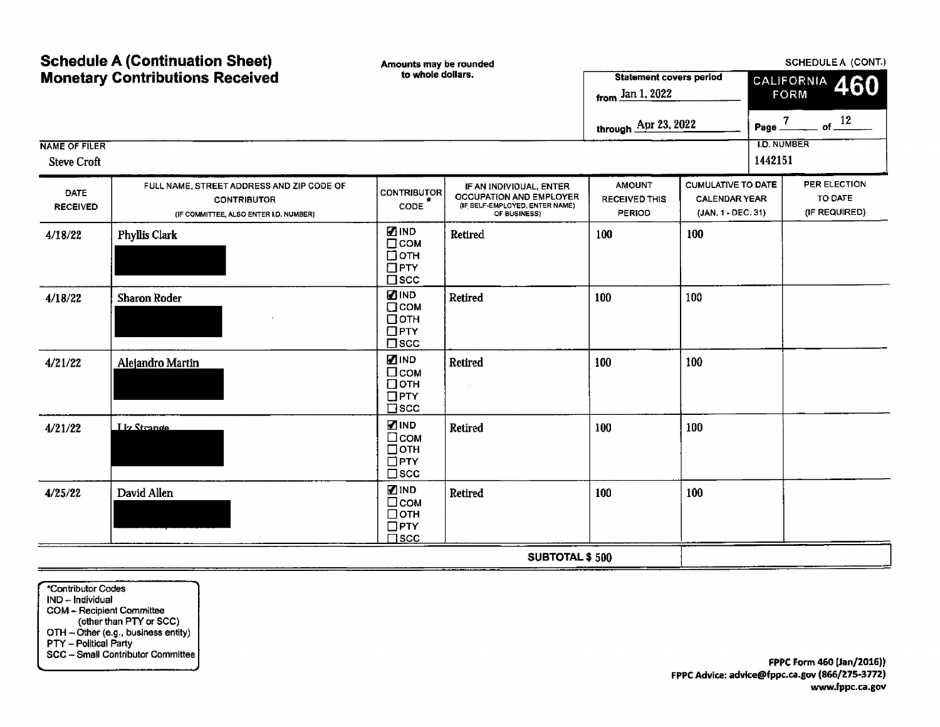| <b>Schedule A (Continuation Sheet)</b>     |                                                                                                           | Amounts may be rounded                                              |                                                                                                      |                                                                       | SCHEDULE A (CONT.)                                                      |                               |                                          |  |  |
|--------------------------------------------|-----------------------------------------------------------------------------------------------------------|---------------------------------------------------------------------|------------------------------------------------------------------------------------------------------|-----------------------------------------------------------------------|-------------------------------------------------------------------------|-------------------------------|------------------------------------------|--|--|
| <b>Monetary Contributions Received</b>     |                                                                                                           | to whole dollars.                                                   |                                                                                                      | <b>Statement covers period</b><br>from $\frac{\text{Jan 1, 2022}}{n}$ |                                                                         | CALIFORNIA 460<br><b>FORM</b> |                                          |  |  |
|                                            |                                                                                                           |                                                                     |                                                                                                      | through Apr 23, 2022                                                  |                                                                         | Page $\frac{7}{2}$            | of $12$                                  |  |  |
| <b>NAME OF FILER</b><br><b>Steve Croft</b> |                                                                                                           |                                                                     |                                                                                                      |                                                                       |                                                                         | <b>I.D. NUMBER</b><br>1442151 |                                          |  |  |
| DATE<br><b>RECEIVED</b>                    | FULL NAME, STREET ADDRESS AND ZIP CODE OF<br><b>CONTRIBUTOR</b><br>(IF COMMITTEE, ALSO ENTER I.D. NUMBER) | <b>CONTRIBUTOR</b><br>CODE                                          | IF AN INDIVIDUAL, ENTER<br>OCCUPATION AND EMPLOYER<br>(IF SELF-EMPLOYED, ENTER NAME)<br>OF BUSINESS) | <b>AMOUNT</b><br>RECEIVED THIS<br><b>PERIOD</b>                       | <b>CUMULATIVE TO DATE</b><br><b>CALENDAR YEAR</b><br>(JAN. 1 - DEC. 31) |                               | PER ELECTION<br>TO DATE<br>(IF REQUIRED) |  |  |
| 4/18/22                                    | <b>Phyllis Clark</b>                                                                                      | <b>ZIND</b><br>$\Box$ COM<br>□отн<br>$\Box$ PTY<br>$\square$ scc    | Retired                                                                                              | 100                                                                   | 100                                                                     |                               |                                          |  |  |
| 4/18/22                                    | <b>Sharon Roder</b>                                                                                       | <b>ZIND</b><br>$\square$ COM<br>□отн<br>$\Box$ PTY<br>$\square$ scc | Retired                                                                                              | 100                                                                   | 100                                                                     |                               |                                          |  |  |
| 4/21/22                                    | Alejandro Martin                                                                                          | <b>ZIND</b><br>□сом<br>□отн<br>$\Box$ PTY<br>$\square$ scc          | Retired                                                                                              | 100                                                                   | 100                                                                     |                               |                                          |  |  |
| 4/21/22                                    | Liz Strange                                                                                               | <b>MIND</b><br>$\square$ COM<br>□отн<br>$\Box$ PTY<br>$\square$ scc | Retired                                                                                              | 100                                                                   | 100                                                                     |                               |                                          |  |  |
| 4/25/22                                    | David Allen                                                                                               | ZIND<br>□сом<br>$\Box$ OTH<br>$\Box$ PTY<br>$\square$ scc           | Retired                                                                                              | 100                                                                   | 100                                                                     |                               |                                          |  |  |
|                                            |                                                                                                           |                                                                     | <b>SUBTOTAL \$500</b>                                                                                |                                                                       |                                                                         |                               |                                          |  |  |

Contributor Codes IND— Individual COM— Recipient Committee other than PTY or SCC) OTH – Other (e.g., business entity PTY— Political Party SCC— Small Contributor Committee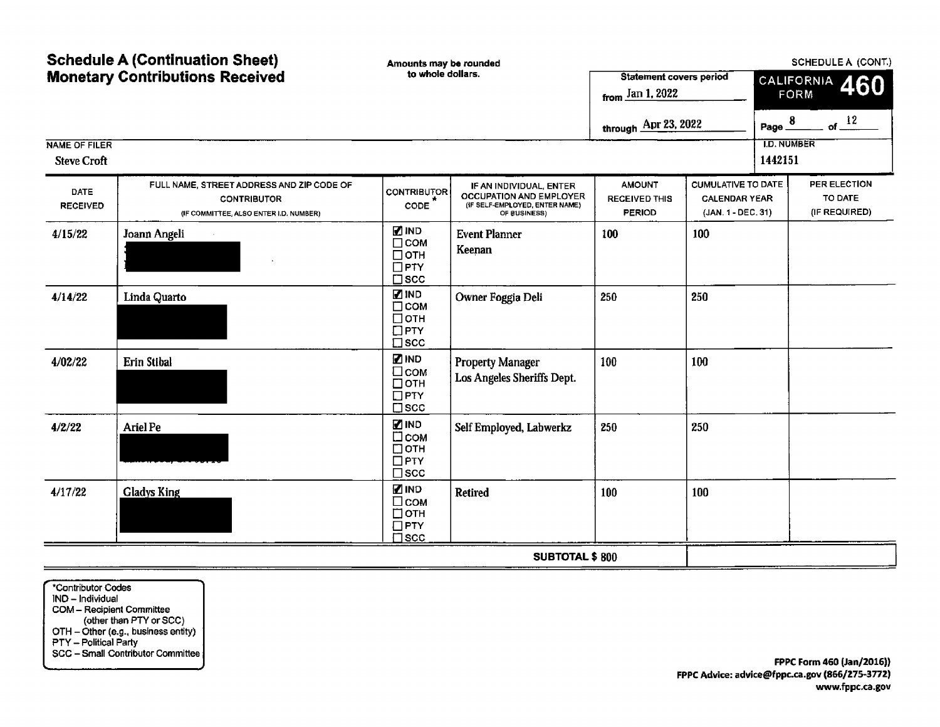| <b>Schedule A (Continuation Sheet)</b>     |                                                                                                           | Amounts may be rounded                                                 |                                                                                                             | <b>SCHEDULE A (CONT.)</b>                              |                                                                         |                                  |                                          |  |
|--------------------------------------------|-----------------------------------------------------------------------------------------------------------|------------------------------------------------------------------------|-------------------------------------------------------------------------------------------------------------|--------------------------------------------------------|-------------------------------------------------------------------------|----------------------------------|------------------------------------------|--|
| <b>Monetary Contributions Received</b>     |                                                                                                           | to whole dollars.                                                      |                                                                                                             | <b>Statement covers period</b><br>from Jan 1, 2022     |                                                                         | CALIFORNIA<br>460<br><b>FORM</b> |                                          |  |
|                                            |                                                                                                           |                                                                        |                                                                                                             | through Apr 23, 2022                                   |                                                                         | Page $\frac{8}{1}$               | of $12$                                  |  |
| <b>NAME OF FILER</b><br><b>Steve Croft</b> |                                                                                                           |                                                                        |                                                                                                             |                                                        |                                                                         | <b>I.D. NUMBER</b><br>1442151    |                                          |  |
| DATE<br><b>RECEIVED</b>                    | FULL NAME, STREET ADDRESS AND ZIP CODE OF<br><b>CONTRIBUTOR</b><br>(IF COMMITTEE, ALSO ENTER I.D. NUMBER) | <b>CONTRIBUTOR</b><br>CODE                                             | IF AN INDIVIDUAL, ENTER<br><b>OCCUPATION AND EMPLOYER</b><br>(IF SELF-EMPLOYED, ENTER NAME)<br>OF BUSINESS) | <b>AMOUNT</b><br><b>RECEIVED THIS</b><br><b>PERIOD</b> | <b>CUMULATIVE TO DATE</b><br><b>CALENDAR YEAR</b><br>(JAN. 1 - DEC. 31) |                                  | PER ELECTION<br>TO DATE<br>(IF REQUIRED) |  |
| 4/15/22                                    | Joann Angeli                                                                                              | <b>ZIND</b><br>$\Box$ COM<br>$\Box$ OTH<br>$\Box$ PTY<br>$\square$ scc | <b>Event Planner</b><br>Keenan                                                                              | 100                                                    | 100                                                                     |                                  |                                          |  |
| 4/14/22                                    | Linda Quarto                                                                                              | <b>ZIND</b><br>$\Box$ COM<br>□отн<br>$\Box$ PTY<br>$\square$ scc       | Owner Foggia Deli                                                                                           | 250                                                    | 250                                                                     |                                  |                                          |  |
| 4/02/22                                    | Erin Stibal                                                                                               | <b>ZIND</b><br>$\square$ COM<br>□отн<br>$\Box$ PTY<br>$\square$ scc    | <b>Property Manager</b><br>Los Angeles Sheriffs Dept.                                                       | 100                                                    | 100                                                                     |                                  |                                          |  |
| 4/2/22                                     | Ariel Pe                                                                                                  | <b>ZIND</b><br>□сом<br>□отн<br>$\Box$ PTY<br>$\square$ scc             | Self Employed, Labwerkz                                                                                     | 250                                                    | 250                                                                     |                                  |                                          |  |
| 4/17/22                                    | <b>Gladys King</b>                                                                                        | ZIND<br>□сом<br>□отн<br>$\Box$ PTY<br>$\square$ scc                    | <b>Retired</b>                                                                                              | 100                                                    | 100                                                                     |                                  |                                          |  |
|                                            |                                                                                                           |                                                                        | <b>SUBTOTAL \$800</b>                                                                                       |                                                        |                                                                         |                                  |                                          |  |

\*Contributor Codes IND— Individual COM— Recipient Committee other than PTY or SCC)  $O$  I H  $-$  Other (e.g., business entity) PTY— Political Party SCC— Small Contributor Committee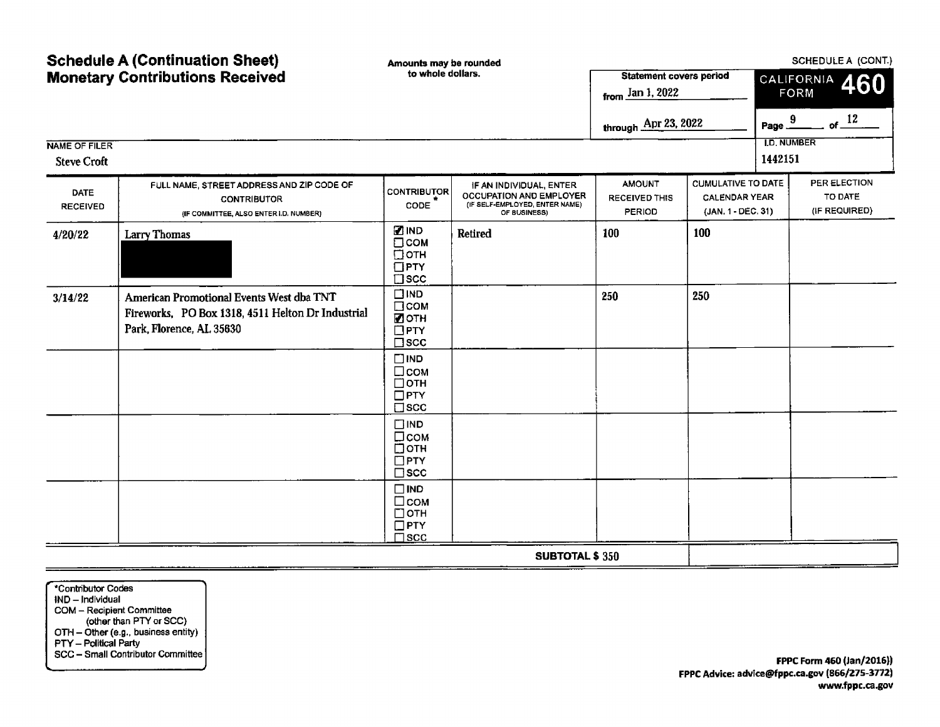| <b>Schedule A (Continuation Sheet)</b><br><b>Monetary Contributions Received</b> |                                                                                                                           | Amounts may be rounded<br>to whole dollars.                           |                                                                                                      | <b>Statement covers period</b><br>from $\frac{\text{Jan 1, 2022}}{n}$ |                                                                         | SCHEDULE A (CONT.)<br>CALIFORNIA<br>460<br><b>FORM</b> |                                          |
|----------------------------------------------------------------------------------|---------------------------------------------------------------------------------------------------------------------------|-----------------------------------------------------------------------|------------------------------------------------------------------------------------------------------|-----------------------------------------------------------------------|-------------------------------------------------------------------------|--------------------------------------------------------|------------------------------------------|
| <b>NAME OF FILER</b><br><b>Steve Croft</b>                                       |                                                                                                                           |                                                                       |                                                                                                      | through Apr 23, 2022                                                  |                                                                         | Page.<br><b>I.D. NUMBER</b><br>1442151                 | of $12$<br>9                             |
| DATE<br><b>RECEIVED</b>                                                          | FULL NAME, STREET ADDRESS AND ZIP CODE OF<br><b>CONTRIBUTOR</b><br>(IF COMMITTEE, ALSO ENTER I.D. NUMBER)                 | <b>CONTRIBUTOR</b><br>CODE                                            | IF AN INDIVIDUAL, ENTER<br>OCCUPATION AND EMPLOYER<br>(IF SELF-EMPLOYED, ENTER NAME)<br>OF BUSINESS) | <b>AMOUNT</b><br><b>RECEIVED THIS</b><br>PERIOD                       | <b>CUMULATIVE TO DATE</b><br><b>CALENDAR YEAR</b><br>(JAN. 1 - DEC. 31) |                                                        | PER ELECTION<br>TO DATE<br>(IF REQUIRED) |
| 4/20/22                                                                          | Larry Thomas                                                                                                              | <b>ZIND</b><br>□сом<br>$\Box$ OTH<br>$\Box$ PTY<br>$\square$ scc      | Retired                                                                                              | 100                                                                   | 100                                                                     |                                                        |                                          |
| 3/14/22                                                                          | American Promotional Events West dba TNT<br>Fireworks, PO Box 1318, 4511 Helton Dr Industrial<br>Park, Florence, AL 35630 | $\square$ IND<br>$\square$ COM<br>■ОТН<br>$\Box$ PTY<br>$\square$ scc |                                                                                                      | 250                                                                   | 250                                                                     |                                                        |                                          |
|                                                                                  |                                                                                                                           | $\square$ IND<br>□сом<br>□отн<br>$\Box$ PTY<br>$\square$ scc          |                                                                                                      |                                                                       |                                                                         |                                                        |                                          |
|                                                                                  |                                                                                                                           | $\square$ IND<br>□сом<br>□отн<br>$\Box$ PTY<br>$\square$ scc          |                                                                                                      |                                                                       |                                                                         |                                                        |                                          |
|                                                                                  |                                                                                                                           | $\square$ IND<br>□сом<br>□отн<br>$\square$ PTY<br>$\square$ scc       |                                                                                                      |                                                                       |                                                                         |                                                        |                                          |
|                                                                                  |                                                                                                                           |                                                                       | <b>SUBTOTAL \$350</b>                                                                                |                                                                       |                                                                         |                                                        |                                          |

Contributor Codes IND- Individual COM— Recipient Committee other than PTY or SCC) OTH — Other (e.g., business entity) PTY— Political Party SCC— Small Contributor Committee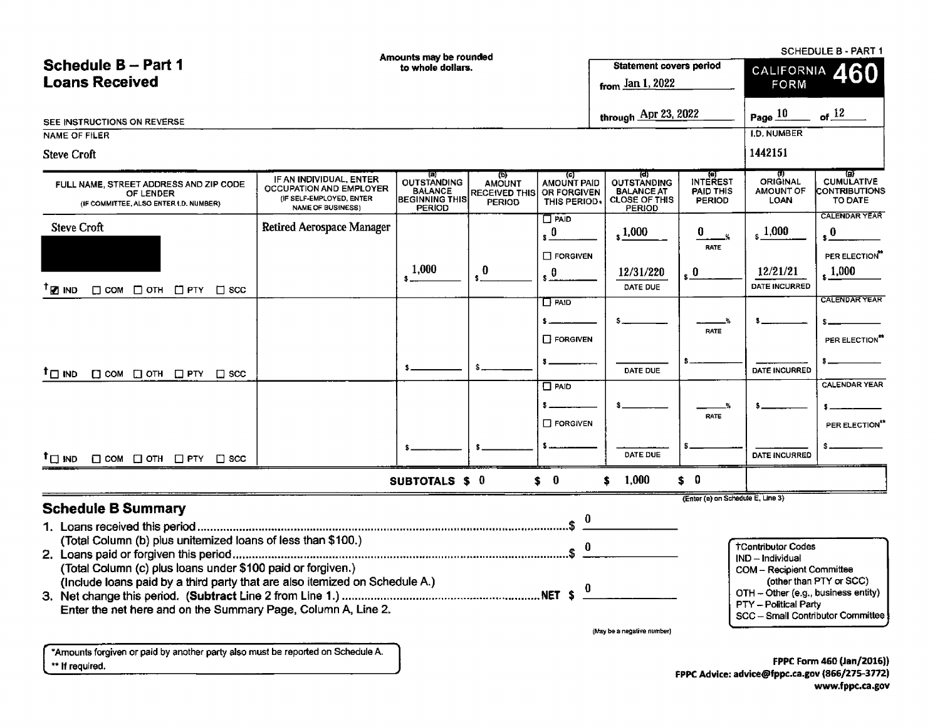| <b>SCHEDULE B - PART 1</b><br>Amounts may be rounded<br>to whole dollars.<br>Schedule B - Part 1<br>Loans Received<br><b>Statement covers perior</b><br>$\frac{5}{2}$ from $\frac{\text{Jan 1, 2022}}{2}$<br>FORM<br>through $\overline{\text{Apr 23, 2022}}$<br>Page $\frac{10}{12}$ of $\frac{12}{12}$<br>$\overline{\phantom{a}}$ $\overline{\phantom{a}}$ $\overline{\phantom{a}}$ $\overline{\phantom{a}}$ $\overline{\phantom{a}}$ $\overline{\phantom{a}}$ $\overline{\phantom{a}}$ $\overline{\phantom{a}}$ $\overline{\phantom{a}}$ $\overline{\phantom{a}}$ $\overline{\phantom{a}}$ $\overline{\phantom{a}}$ $\overline{\phantom{a}}$ $\overline{\phantom{a}}$ $\overline{\phantom{a}}$ $\overline{\phantom{a}}$ $\overline{\phantom{a}}$ $\overline{\phantom{a}}$ $\overline{\$<br><b>Steve Croft</b><br>F AN INDIVIDUAL, ENTER OUTSTANDING AMOUNT MANUINT PAID OUTSTANDING INTEREST ORIGINAL CUMULATIVE BALANCE BALANCE RECEIVED THIS OR FORGIVEN BALANCE PAID THIS AMOUNT OUTSTANDING INTEREST ORIGINAL CUMULATIVE (IF SELF-EMPLOYER,<br><u>e de la componentación de la componentación de la componentación de la componentación de la componentación de</u><br>FULL NAME, STREET ADDRESS AND ZIP CODE<br>OF LENDER<br>(IF COMMITTEE, ALSO ENTER I.D. NUMBER)<br>Retired Aerospace Manager<br>$\frac{1}{\sqrt{1-\frac{1}{n}}}\left  \sqrt{1,000} \right  \left  \sqrt{0.000} \right  \left  \sqrt{0.000} \right  \left  \sqrt{0.000} \right  \left  \sqrt{0.000} \right $<br>PER ELECTION<br><b>FORGIVEN</b><br>1,000<br>$- \frac{12/21/21}{\text{DATE INCURRED}}$<br>$\frac{1,000}{1}$<br>12/31/220<br>$\left  \cdot \right $ $\frac{0}{\left  \cdot \right }$<br>—   s <del>" — — —</del>  <br>DATE DUE<br>AND THE CALENDAR YEAR<br>$\begin{array}{ c c c c c c c c c } \hline \rule{0pt}{1ex} & \rule{0pt}{2ex} & \rule{0pt}{2ex} & \rule{0pt}{2ex} & \end{array} \hspace{1ex} \begin{array}{ c c c c c c c } \hline \rule{0pt}{2ex} & \rule{0pt}{2ex} & \rule{0pt}{2ex} & \rule{0pt}{2ex} & \rule{0pt}{2ex} & \rule{0pt}{2ex} & \rule{0pt}{2ex} & \rule{0pt}{2ex} & \rule{0pt}{2ex} & \rule{0pt}{2ex} & \rule{0pt}{2ex} & \rule{0pt}{$<br>PER ELECTION <sup>**</sup><br>] FORGIVEN<br>-   <del>___________</del>   \$ <del>__________</del><br>  DATE INCURRED  <br>$\sqrt{2}$<br>DATE DUE<br>O PAID PAID<br>  \$ <del>_______</del><br><b>RATE</b><br><b>FORGIVEN</b><br>PER ELECTION**<br>DATE DUE<br><u> 15 — — — — 1</u> —<br>- \$- <del>------------</del>   \$<br>$    -$<br><b>DATE INCURRED</b><br><u> 1980 - Jaan Brenne, Jaan Brenne, Staats</u><br>SUBTOTALS \$ 0 \$ 0 \$ 1,000 \$ 0<br>(Enter (e) on Schedule E, Line 3)<br>TContributor Codes<br>IND – Individual<br>COM – Recipient Committee<br>(other than PTY or SCC)<br>NET $\phi$ <u>0</u><br>OTH - Other (e.g., business entity)<br>$PTY -$ Political Party<br>SCC - Small Contributor Committee<br>(May be a negative number)<br>*Amounts forgiven or paid by another party also must be reported on Schedule A.<br>** If required.<br>FPPC Form 460 (Jan/2016)<br>FPPC Advice: advice@fppc.ca.gov (866/275-3772)<br>www.fppc.ca.gov |                                              |  |  |  |
|------------------------------------------------------------------------------------------------------------------------------------------------------------------------------------------------------------------------------------------------------------------------------------------------------------------------------------------------------------------------------------------------------------------------------------------------------------------------------------------------------------------------------------------------------------------------------------------------------------------------------------------------------------------------------------------------------------------------------------------------------------------------------------------------------------------------------------------------------------------------------------------------------------------------------------------------------------------------------------------------------------------------------------------------------------------------------------------------------------------------------------------------------------------------------------------------------------------------------------------------------------------------------------------------------------------------------------------------------------------------------------------------------------------------------------------------------------------------------------------------------------------------------------------------------------------------------------------------------------------------------------------------------------------------------------------------------------------------------------------------------------------------------------------------------------------------------------------------------------------------------------------------------------------------------------------------------------------------------------------------------------------------------------------------------------------------------------------------------------------------------------------------------------------------------------------------------------------------------------------------------------------------------------------------------------------------------------------------------------------------------------------------------------------------------------------------------------------------------------------------------------------------------------------------------------------------------------------------------------------------------------------------------------------------------------------------------------------------------------------------------------------------------------------------------------------------------------------------------------------------------------------------------------------------------------------------------------------------------------------------------------------------------------------------------------------------------------------------------------------------------|----------------------------------------------|--|--|--|
|                                                                                                                                                                                                                                                                                                                                                                                                                                                                                                                                                                                                                                                                                                                                                                                                                                                                                                                                                                                                                                                                                                                                                                                                                                                                                                                                                                                                                                                                                                                                                                                                                                                                                                                                                                                                                                                                                                                                                                                                                                                                                                                                                                                                                                                                                                                                                                                                                                                                                                                                                                                                                                                                                                                                                                                                                                                                                                                                                                                                                                                                                                                              |                                              |  |  |  |
|                                                                                                                                                                                                                                                                                                                                                                                                                                                                                                                                                                                                                                                                                                                                                                                                                                                                                                                                                                                                                                                                                                                                                                                                                                                                                                                                                                                                                                                                                                                                                                                                                                                                                                                                                                                                                                                                                                                                                                                                                                                                                                                                                                                                                                                                                                                                                                                                                                                                                                                                                                                                                                                                                                                                                                                                                                                                                                                                                                                                                                                                                                                              |                                              |  |  |  |
|                                                                                                                                                                                                                                                                                                                                                                                                                                                                                                                                                                                                                                                                                                                                                                                                                                                                                                                                                                                                                                                                                                                                                                                                                                                                                                                                                                                                                                                                                                                                                                                                                                                                                                                                                                                                                                                                                                                                                                                                                                                                                                                                                                                                                                                                                                                                                                                                                                                                                                                                                                                                                                                                                                                                                                                                                                                                                                                                                                                                                                                                                                                              |                                              |  |  |  |
|                                                                                                                                                                                                                                                                                                                                                                                                                                                                                                                                                                                                                                                                                                                                                                                                                                                                                                                                                                                                                                                                                                                                                                                                                                                                                                                                                                                                                                                                                                                                                                                                                                                                                                                                                                                                                                                                                                                                                                                                                                                                                                                                                                                                                                                                                                                                                                                                                                                                                                                                                                                                                                                                                                                                                                                                                                                                                                                                                                                                                                                                                                                              |                                              |  |  |  |
|                                                                                                                                                                                                                                                                                                                                                                                                                                                                                                                                                                                                                                                                                                                                                                                                                                                                                                                                                                                                                                                                                                                                                                                                                                                                                                                                                                                                                                                                                                                                                                                                                                                                                                                                                                                                                                                                                                                                                                                                                                                                                                                                                                                                                                                                                                                                                                                                                                                                                                                                                                                                                                                                                                                                                                                                                                                                                                                                                                                                                                                                                                                              |                                              |  |  |  |
|                                                                                                                                                                                                                                                                                                                                                                                                                                                                                                                                                                                                                                                                                                                                                                                                                                                                                                                                                                                                                                                                                                                                                                                                                                                                                                                                                                                                                                                                                                                                                                                                                                                                                                                                                                                                                                                                                                                                                                                                                                                                                                                                                                                                                                                                                                                                                                                                                                                                                                                                                                                                                                                                                                                                                                                                                                                                                                                                                                                                                                                                                                                              |                                              |  |  |  |
|                                                                                                                                                                                                                                                                                                                                                                                                                                                                                                                                                                                                                                                                                                                                                                                                                                                                                                                                                                                                                                                                                                                                                                                                                                                                                                                                                                                                                                                                                                                                                                                                                                                                                                                                                                                                                                                                                                                                                                                                                                                                                                                                                                                                                                                                                                                                                                                                                                                                                                                                                                                                                                                                                                                                                                                                                                                                                                                                                                                                                                                                                                                              |                                              |  |  |  |
|                                                                                                                                                                                                                                                                                                                                                                                                                                                                                                                                                                                                                                                                                                                                                                                                                                                                                                                                                                                                                                                                                                                                                                                                                                                                                                                                                                                                                                                                                                                                                                                                                                                                                                                                                                                                                                                                                                                                                                                                                                                                                                                                                                                                                                                                                                                                                                                                                                                                                                                                                                                                                                                                                                                                                                                                                                                                                                                                                                                                                                                                                                                              |                                              |  |  |  |
|                                                                                                                                                                                                                                                                                                                                                                                                                                                                                                                                                                                                                                                                                                                                                                                                                                                                                                                                                                                                                                                                                                                                                                                                                                                                                                                                                                                                                                                                                                                                                                                                                                                                                                                                                                                                                                                                                                                                                                                                                                                                                                                                                                                                                                                                                                                                                                                                                                                                                                                                                                                                                                                                                                                                                                                                                                                                                                                                                                                                                                                                                                                              |                                              |  |  |  |
|                                                                                                                                                                                                                                                                                                                                                                                                                                                                                                                                                                                                                                                                                                                                                                                                                                                                                                                                                                                                                                                                                                                                                                                                                                                                                                                                                                                                                                                                                                                                                                                                                                                                                                                                                                                                                                                                                                                                                                                                                                                                                                                                                                                                                                                                                                                                                                                                                                                                                                                                                                                                                                                                                                                                                                                                                                                                                                                                                                                                                                                                                                                              | SEE INSTRUCTIONS ON REVERSE<br>NAME OF FILER |  |  |  |
|                                                                                                                                                                                                                                                                                                                                                                                                                                                                                                                                                                                                                                                                                                                                                                                                                                                                                                                                                                                                                                                                                                                                                                                                                                                                                                                                                                                                                                                                                                                                                                                                                                                                                                                                                                                                                                                                                                                                                                                                                                                                                                                                                                                                                                                                                                                                                                                                                                                                                                                                                                                                                                                                                                                                                                                                                                                                                                                                                                                                                                                                                                                              |                                              |  |  |  |
|                                                                                                                                                                                                                                                                                                                                                                                                                                                                                                                                                                                                                                                                                                                                                                                                                                                                                                                                                                                                                                                                                                                                                                                                                                                                                                                                                                                                                                                                                                                                                                                                                                                                                                                                                                                                                                                                                                                                                                                                                                                                                                                                                                                                                                                                                                                                                                                                                                                                                                                                                                                                                                                                                                                                                                                                                                                                                                                                                                                                                                                                                                                              | Steve Croft                                  |  |  |  |
|                                                                                                                                                                                                                                                                                                                                                                                                                                                                                                                                                                                                                                                                                                                                                                                                                                                                                                                                                                                                                                                                                                                                                                                                                                                                                                                                                                                                                                                                                                                                                                                                                                                                                                                                                                                                                                                                                                                                                                                                                                                                                                                                                                                                                                                                                                                                                                                                                                                                                                                                                                                                                                                                                                                                                                                                                                                                                                                                                                                                                                                                                                                              |                                              |  |  |  |
|                                                                                                                                                                                                                                                                                                                                                                                                                                                                                                                                                                                                                                                                                                                                                                                                                                                                                                                                                                                                                                                                                                                                                                                                                                                                                                                                                                                                                                                                                                                                                                                                                                                                                                                                                                                                                                                                                                                                                                                                                                                                                                                                                                                                                                                                                                                                                                                                                                                                                                                                                                                                                                                                                                                                                                                                                                                                                                                                                                                                                                                                                                                              |                                              |  |  |  |
|                                                                                                                                                                                                                                                                                                                                                                                                                                                                                                                                                                                                                                                                                                                                                                                                                                                                                                                                                                                                                                                                                                                                                                                                                                                                                                                                                                                                                                                                                                                                                                                                                                                                                                                                                                                                                                                                                                                                                                                                                                                                                                                                                                                                                                                                                                                                                                                                                                                                                                                                                                                                                                                                                                                                                                                                                                                                                                                                                                                                                                                                                                                              |                                              |  |  |  |
|                                                                                                                                                                                                                                                                                                                                                                                                                                                                                                                                                                                                                                                                                                                                                                                                                                                                                                                                                                                                                                                                                                                                                                                                                                                                                                                                                                                                                                                                                                                                                                                                                                                                                                                                                                                                                                                                                                                                                                                                                                                                                                                                                                                                                                                                                                                                                                                                                                                                                                                                                                                                                                                                                                                                                                                                                                                                                                                                                                                                                                                                                                                              | TO ND D COM D OTH OFTY D SCC                 |  |  |  |
|                                                                                                                                                                                                                                                                                                                                                                                                                                                                                                                                                                                                                                                                                                                                                                                                                                                                                                                                                                                                                                                                                                                                                                                                                                                                                                                                                                                                                                                                                                                                                                                                                                                                                                                                                                                                                                                                                                                                                                                                                                                                                                                                                                                                                                                                                                                                                                                                                                                                                                                                                                                                                                                                                                                                                                                                                                                                                                                                                                                                                                                                                                                              |                                              |  |  |  |
|                                                                                                                                                                                                                                                                                                                                                                                                                                                                                                                                                                                                                                                                                                                                                                                                                                                                                                                                                                                                                                                                                                                                                                                                                                                                                                                                                                                                                                                                                                                                                                                                                                                                                                                                                                                                                                                                                                                                                                                                                                                                                                                                                                                                                                                                                                                                                                                                                                                                                                                                                                                                                                                                                                                                                                                                                                                                                                                                                                                                                                                                                                                              |                                              |  |  |  |
|                                                                                                                                                                                                                                                                                                                                                                                                                                                                                                                                                                                                                                                                                                                                                                                                                                                                                                                                                                                                                                                                                                                                                                                                                                                                                                                                                                                                                                                                                                                                                                                                                                                                                                                                                                                                                                                                                                                                                                                                                                                                                                                                                                                                                                                                                                                                                                                                                                                                                                                                                                                                                                                                                                                                                                                                                                                                                                                                                                                                                                                                                                                              | <b>Schedule B Summary</b>                    |  |  |  |
|                                                                                                                                                                                                                                                                                                                                                                                                                                                                                                                                                                                                                                                                                                                                                                                                                                                                                                                                                                                                                                                                                                                                                                                                                                                                                                                                                                                                                                                                                                                                                                                                                                                                                                                                                                                                                                                                                                                                                                                                                                                                                                                                                                                                                                                                                                                                                                                                                                                                                                                                                                                                                                                                                                                                                                                                                                                                                                                                                                                                                                                                                                                              |                                              |  |  |  |
|                                                                                                                                                                                                                                                                                                                                                                                                                                                                                                                                                                                                                                                                                                                                                                                                                                                                                                                                                                                                                                                                                                                                                                                                                                                                                                                                                                                                                                                                                                                                                                                                                                                                                                                                                                                                                                                                                                                                                                                                                                                                                                                                                                                                                                                                                                                                                                                                                                                                                                                                                                                                                                                                                                                                                                                                                                                                                                                                                                                                                                                                                                                              |                                              |  |  |  |
|                                                                                                                                                                                                                                                                                                                                                                                                                                                                                                                                                                                                                                                                                                                                                                                                                                                                                                                                                                                                                                                                                                                                                                                                                                                                                                                                                                                                                                                                                                                                                                                                                                                                                                                                                                                                                                                                                                                                                                                                                                                                                                                                                                                                                                                                                                                                                                                                                                                                                                                                                                                                                                                                                                                                                                                                                                                                                                                                                                                                                                                                                                                              |                                              |  |  |  |
|                                                                                                                                                                                                                                                                                                                                                                                                                                                                                                                                                                                                                                                                                                                                                                                                                                                                                                                                                                                                                                                                                                                                                                                                                                                                                                                                                                                                                                                                                                                                                                                                                                                                                                                                                                                                                                                                                                                                                                                                                                                                                                                                                                                                                                                                                                                                                                                                                                                                                                                                                                                                                                                                                                                                                                                                                                                                                                                                                                                                                                                                                                                              |                                              |  |  |  |
|                                                                                                                                                                                                                                                                                                                                                                                                                                                                                                                                                                                                                                                                                                                                                                                                                                                                                                                                                                                                                                                                                                                                                                                                                                                                                                                                                                                                                                                                                                                                                                                                                                                                                                                                                                                                                                                                                                                                                                                                                                                                                                                                                                                                                                                                                                                                                                                                                                                                                                                                                                                                                                                                                                                                                                                                                                                                                                                                                                                                                                                                                                                              |                                              |  |  |  |
|                                                                                                                                                                                                                                                                                                                                                                                                                                                                                                                                                                                                                                                                                                                                                                                                                                                                                                                                                                                                                                                                                                                                                                                                                                                                                                                                                                                                                                                                                                                                                                                                                                                                                                                                                                                                                                                                                                                                                                                                                                                                                                                                                                                                                                                                                                                                                                                                                                                                                                                                                                                                                                                                                                                                                                                                                                                                                                                                                                                                                                                                                                                              |                                              |  |  |  |
|                                                                                                                                                                                                                                                                                                                                                                                                                                                                                                                                                                                                                                                                                                                                                                                                                                                                                                                                                                                                                                                                                                                                                                                                                                                                                                                                                                                                                                                                                                                                                                                                                                                                                                                                                                                                                                                                                                                                                                                                                                                                                                                                                                                                                                                                                                                                                                                                                                                                                                                                                                                                                                                                                                                                                                                                                                                                                                                                                                                                                                                                                                                              |                                              |  |  |  |
|                                                                                                                                                                                                                                                                                                                                                                                                                                                                                                                                                                                                                                                                                                                                                                                                                                                                                                                                                                                                                                                                                                                                                                                                                                                                                                                                                                                                                                                                                                                                                                                                                                                                                                                                                                                                                                                                                                                                                                                                                                                                                                                                                                                                                                                                                                                                                                                                                                                                                                                                                                                                                                                                                                                                                                                                                                                                                                                                                                                                                                                                                                                              |                                              |  |  |  |
|                                                                                                                                                                                                                                                                                                                                                                                                                                                                                                                                                                                                                                                                                                                                                                                                                                                                                                                                                                                                                                                                                                                                                                                                                                                                                                                                                                                                                                                                                                                                                                                                                                                                                                                                                                                                                                                                                                                                                                                                                                                                                                                                                                                                                                                                                                                                                                                                                                                                                                                                                                                                                                                                                                                                                                                                                                                                                                                                                                                                                                                                                                                              |                                              |  |  |  |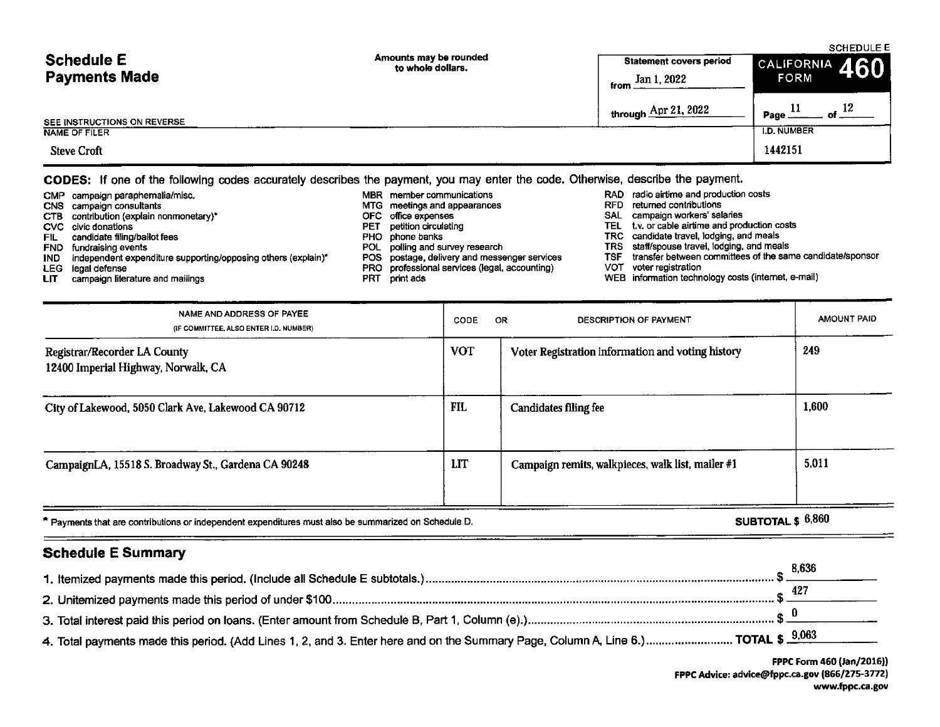| <b>Schedule E</b><br><b>Payments Made</b> | Amounts may be rounded<br>to whole dollars. | <b>Statement covers period</b><br>Jan 1, 2022<br>from __ | <b>SCHEDULE E</b><br>$\vert$ <sup>CALIFORNIA</sup> 460<br><b>FORM</b> |  |
|-------------------------------------------|---------------------------------------------|----------------------------------------------------------|-----------------------------------------------------------------------|--|
| SEE INSTRUCTIONS ON REVERSE               |                                             | through $\frac{\text{Apr }21,2022}{}$                    | $-$ of $12$<br>Page.                                                  |  |
| <b>NAME OF FILER</b>                      |                                             |                                                          | <b>I.D. NUMBER</b>                                                    |  |
| <b>Steve Croft</b>                        |                                             |                                                          | 1442151                                                               |  |

# CODES: If one of the following codes accurately describes the payment, you may enter the code. Otherwise, describe the payment.

|       | CMP campaign paraphernalia/misc.                                  |     | MBR member communications                     |      | RAD radio airtime and production costs                    |
|-------|-------------------------------------------------------------------|-----|-----------------------------------------------|------|-----------------------------------------------------------|
|       | CNS campaign consultants                                          |     | MTG meetings and appearances                  | RFD. | returned contributions                                    |
|       | CTB contribution (explain nonmonetary)*                           |     | OFC office expenses                           |      | SAL campaign workers' salaries                            |
|       | CVC civic donations                                               | PET | petition circulating                          |      | TEL t.v. or cable airtime and production costs            |
| FIL . | candidate filing/ballot fees                                      |     | PHO phone banks                               |      | TRC candidate travel, lodging, and meals                  |
|       | <b>FND</b> fundraising events                                     |     | POL polling and survey research               |      | TRS staff/spouse travel, lodging, and meals               |
|       | IND independent expenditure supporting/opposing others (explain)* |     | POS postage, delivery and messenger services  | TSF  | transfer between committees of the same candidate/sponsor |
|       | LEG legal defense                                                 |     | PRO professional services (legal, accounting) |      | VOT voter registration                                    |
| LIT.  | campaign literature and mailings                                  | PRT | print ads                                     |      | WEB information technology costs (internet, e-mail)       |

| NAME AND ADDRESS OF PAYEE<br>(IF COMMITTEE, ALSO ENTER I.D. NUMBER) | CODE       | <b>DESCRIPTION OF PAYMENT</b><br>OR               | <b>AMOUNT PAID</b> |
|---------------------------------------------------------------------|------------|---------------------------------------------------|--------------------|
| Registrar/Recorder LA County<br>12400 Imperial Highway, Norwalk, CA | <b>VOT</b> | Voter Registration information and voting history | 249                |
| City of Lakewood, 5050 Clark Ave, Lakewood CA 90712                 | FIL        | <b>Candidates filing fee</b>                      | 1,600              |
| CampaignLA, 15518 S. Broadway St., Gardena CA 90248                 | LIT        | Campaign remits, walkpieces, walk list, mailer #1 | 5.011              |

\* Payments that are contributions or independent expenditures must also be summarized on Schedule D. SUBTOTAL \$  $6,860$ 

# Schedule E Summary

|                                                                                                                                                  | 8,636 |
|--------------------------------------------------------------------------------------------------------------------------------------------------|-------|
|                                                                                                                                                  |       |
|                                                                                                                                                  |       |
| 4. Total payments made this period. (Add Lines 1, 2, and 3. Enter here and on the Summary Page, Column A, Line 6.) TOTAL \$ $\frac{9,063}{9000}$ |       |

FPPC Form 460 (Jan/2016)) FPPC Advice: advice@fppc.ca.gov (866/275-3772) www.fppc.ca.gov